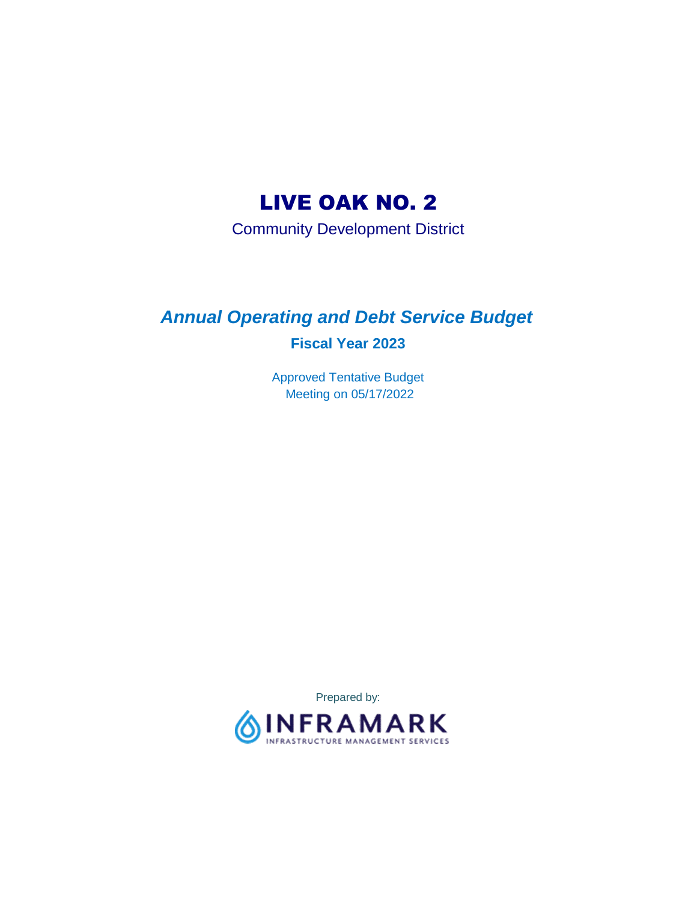# LIVE OAK NO. 2

Community Development District

# *Annual Operating and Debt Service Budget*  **Fiscal Year 2023**

 Approved Tentative Budget Meeting on 05/17/2022

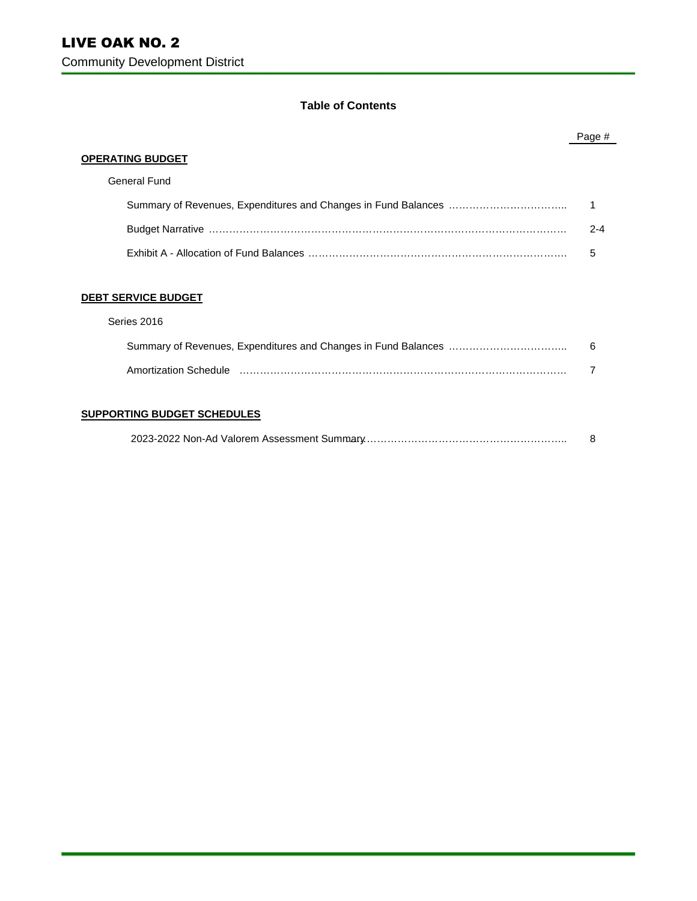#### **Table of Contents**

|                            | Page #  |
|----------------------------|---------|
| <b>OPERATING BUDGET</b>    |         |
| General Fund               |         |
|                            |         |
|                            | $2 - 4$ |
|                            | 5       |
|                            |         |
| <b>DEBT SERVICE BUDGET</b> |         |
| Series 2016                |         |
|                            | 6       |

| Amortization Schedule |  |
|-----------------------|--|

#### **SUPPORTING BUDGET SCHEDULES**

|--|--|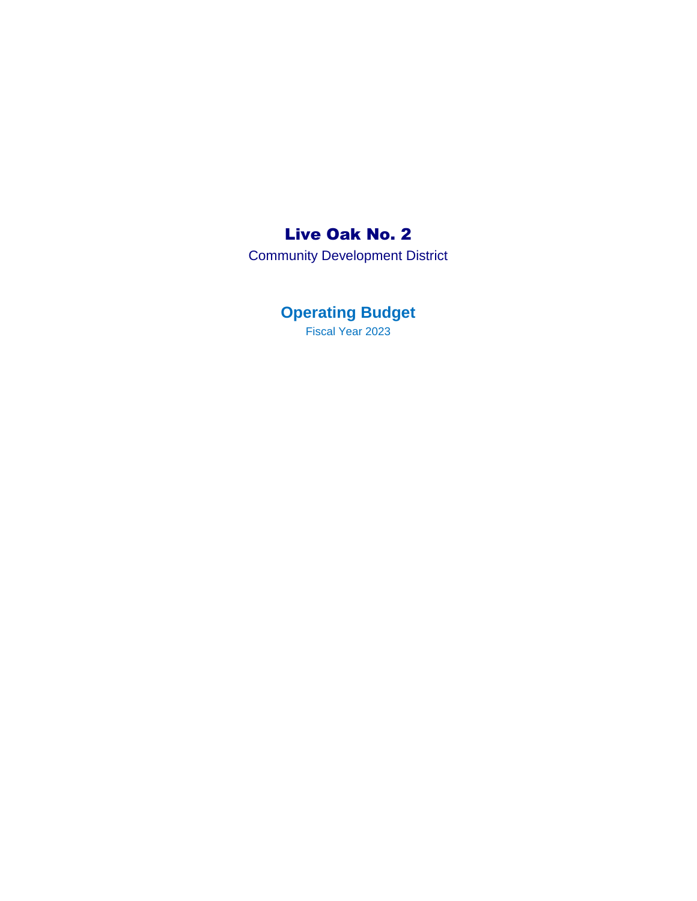## Live Oak No. 2

Community Development District

**Operating Budget**  Fiscal Year 2023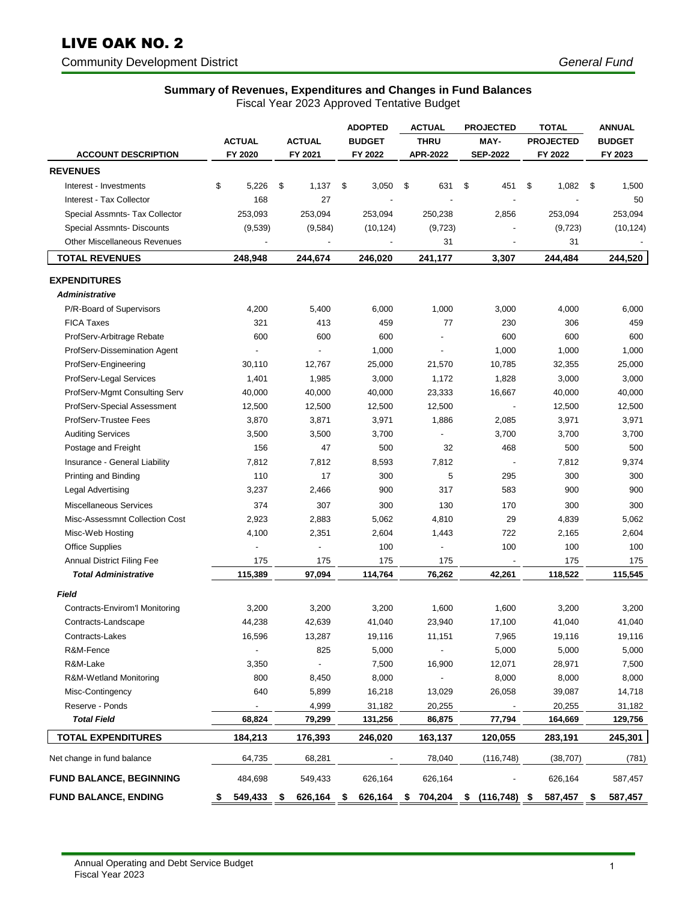# LIVE OAK NO. 2

Community Development District *General Fund* 

#### **Summary of Revenues, Expenditures and Changes in Fund Balances**

|                                              |                                 |                          | <b>ADOPTED</b> | <b>ACTUAL</b>                     | <b>PROJECTED</b> | <b>TOTAL</b>     | <b>ANNUAL</b> |
|----------------------------------------------|---------------------------------|--------------------------|----------------|-----------------------------------|------------------|------------------|---------------|
|                                              | <b>ACTUAL</b>                   | <b>ACTUAL</b>            | <b>BUDGET</b>  | <b>THRU</b>                       | MAY-             | <b>PROJECTED</b> | <b>BUDGET</b> |
| <b>ACCOUNT DESCRIPTION</b>                   | FY 2020                         | FY 2021                  | FY 2022        | <b>APR-2022</b>                   | <b>SEP-2022</b>  | FY 2022          | FY 2023       |
| <b>REVENUES</b>                              |                                 |                          |                |                                   |                  |                  |               |
| Interest - Investments                       | \$<br>5,226                     | \$<br>1,137              | \$<br>3,050    | \$<br>631                         | \$<br>451        | \$<br>1,082      | \$<br>1,500   |
| Interest - Tax Collector                     | 168                             | 27                       |                |                                   |                  |                  | 50            |
| Special Assmnts- Tax Collector               | 253,093                         | 253,094                  | 253,094        | 250,238                           | 2,856            | 253,094          | 253,094       |
| Special Assmnts- Discounts                   | (9,539)                         | (9,584)                  | (10, 124)      | (9, 723)                          |                  | (9, 723)         | (10, 124)     |
| <b>Other Miscellaneous Revenues</b>          | $\centering \label{eq:reduced}$ | $\blacksquare$           |                | 31                                |                  | 31               |               |
| <b>TOTAL REVENUES</b>                        | 248,948                         | 244,674                  | 246,020        | 241,177                           | 3,307            | 244,484          | 244,520       |
|                                              |                                 |                          |                |                                   |                  |                  |               |
| <b>EXPENDITURES</b><br><b>Administrative</b> |                                 |                          |                |                                   |                  |                  |               |
|                                              |                                 |                          |                |                                   |                  |                  |               |
| P/R-Board of Supervisors                     | 4,200                           | 5,400                    | 6,000          | 1,000                             | 3,000            | 4,000            | 6,000         |
| <b>FICA Taxes</b>                            | 321                             | 413                      | 459            | 77                                | 230              | 306              | 459           |
| ProfServ-Arbitrage Rebate                    | 600                             | 600                      | 600            | $\overline{a}$                    | 600              | 600              | 600           |
| ProfServ-Dissemination Agent                 | $\overline{\phantom{a}}$        | $\overline{\phantom{a}}$ | 1,000          | $\overline{\phantom{a}}$          | 1,000            | 1,000            | 1,000         |
| ProfServ-Engineering                         | 30,110                          | 12,767                   | 25,000         | 21,570                            | 10,785           | 32,355           | 25,000        |
| ProfServ-Legal Services                      | 1,401                           | 1,985                    | 3,000          | 1,172                             | 1,828            | 3,000            | 3,000         |
| ProfServ-Mgmt Consulting Serv                | 40,000                          | 40,000                   | 40,000         | 23,333                            | 16,667           | 40,000           | 40,000        |
| ProfServ-Special Assessment                  | 12,500                          | 12,500                   | 12,500         | 12,500                            |                  | 12,500           | 12,500        |
| ProfServ-Trustee Fees                        | 3,870                           | 3,871                    | 3,971          | 1,886                             | 2,085            | 3,971            | 3,971         |
| <b>Auditing Services</b>                     | 3,500                           | 3,500                    | 3,700          | $\overline{a}$                    | 3,700            | 3,700            | 3,700         |
| Postage and Freight                          | 156                             | 47                       | 500            | 32                                | 468              | 500              | 500           |
| Insurance - General Liability                | 7,812                           | 7,812                    | 8,593          | 7,812                             |                  | 7,812            | 9,374         |
| Printing and Binding                         | 110                             | 17                       | 300            | 5                                 | 295              | 300              | 300           |
| Legal Advertising                            | 3,237                           | 2,466                    | 900            | 317                               | 583              | 900              | 900           |
| Miscellaneous Services                       | 374                             | 307                      | 300            | 130                               | 170              | 300              | 300           |
| Misc-Assessmnt Collection Cost               | 2,923                           | 2,883                    | 5,062          | 4,810                             | 29               | 4,839            | 5,062         |
| Misc-Web Hosting                             | 4,100                           | 2,351                    | 2,604          | 1,443                             | 722              | 2,165            | 2,604         |
| <b>Office Supplies</b>                       |                                 |                          | 100            |                                   | 100              | 100              | 100           |
| <b>Annual District Filing Fee</b>            | 175                             | 175                      | 175            | 175                               |                  | 175              | 175           |
| <b>Total Administrative</b>                  | 115,389                         | 97,094                   | 114,764        | 76,262                            | 42,261           | 118,522          | 115,545       |
| <b>Field</b>                                 |                                 |                          |                |                                   |                  |                  |               |
| Contracts-Envirom'l Monitoring               | 3,200                           | 3,200                    | 3,200          | 1,600                             | 1,600            | 3,200            | 3,200         |
| Contracts-Landscape                          | 44,238                          | 42,639                   | 41,040         | 23,940                            | 17,100           | 41,040           | 41,040        |
| Contracts-Lakes                              | 16,596                          | 13,287                   | 19,116         | 11,151                            | 7,965            | 19,116           | 19,116        |
| R&M-Fence                                    |                                 | 825                      | 5,000          |                                   | 5,000            | 5,000            | 5,000         |
| R&M-Lake                                     | 3,350                           |                          | 7,500          | 16,900                            | 12,071           | 28,971           | 7,500         |
| R&M-Wetland Monitoring                       | 800                             | 8,450                    | 8,000          |                                   | 8,000            | 8,000            | 8,000         |
| Misc-Contingency                             | 640                             | 5,899                    | 16,218         | 13,029                            | 26,058           | 39,087           | 14,718        |
| Reserve - Ponds                              | $\overline{\phantom{a}}$        | 4,999                    | 31,182         | 20,255                            |                  | 20,255           | 31,182        |
| <b>Total Field</b>                           | 68,824                          | 79,299                   | 131,256        | 86,875                            | 77,794           | 164,669          | 129,756       |
| <b>TOTAL EXPENDITURES</b>                    | 184,213                         | 176,393                  | 246,020        | 163,137                           | 120,055          | 283,191          | 245,301       |
| Net change in fund balance                   | 64,735                          | 68,281                   |                | 78,040                            | (116, 748)       | (38, 707)        | (781)         |
| <b>FUND BALANCE, BEGINNING</b>               | 484,698                         | 549,433                  | 626,164        | 626,164                           |                  | 626,164          | 587,457       |
| <b>FUND BALANCE, ENDING</b>                  | 549,433 \$<br>\$                | 626,164 \$               |                | 626,164 \$704,204 \$ (116,748) \$ |                  | 587,457 \$       | 587,457       |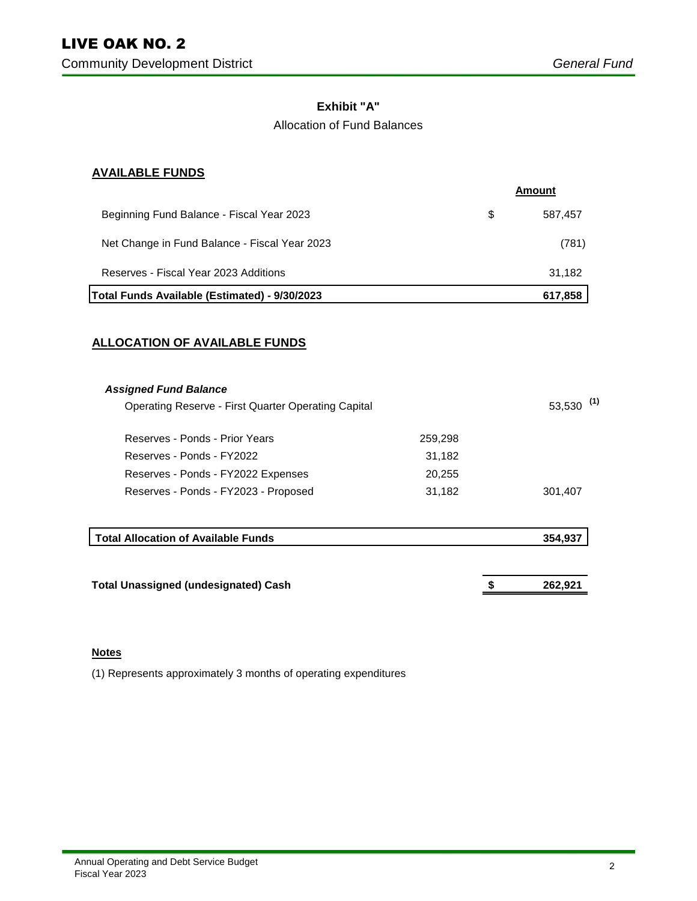#### **Exhibit "A"**

#### Allocation of Fund Balances

#### **AVAILABLE FUNDS**

|                                               |   | Amount  |
|-----------------------------------------------|---|---------|
| Beginning Fund Balance - Fiscal Year 2023     | S | 587,457 |
| Net Change in Fund Balance - Fiscal Year 2023 |   | (781)   |
| Reserves - Fiscal Year 2023 Additions         |   | 31,182  |
| Total Funds Available (Estimated) - 9/30/2023 |   | 617,858 |

#### **ALLOCATION OF AVAILABLE FUNDS**

| <b>Assigned Fund Balance</b>                        |               |         |
|-----------------------------------------------------|---------------|---------|
| Operating Reserve - First Quarter Operating Capital | (1)<br>53,530 |         |
| Reserves - Ponds - Prior Years                      | 259,298       |         |
| Reserves - Ponds - FY2022                           | 31,182        |         |
| Reserves - Ponds - FY2022 Expenses                  | 20,255        |         |
| Reserves - Ponds - FY2023 - Proposed                | 31,182        | 301,407 |
|                                                     |               |         |
| <b>Total Allocation of Available Funds</b>          |               | 354,937 |

**Total Unassigned (undesignated) Cash** 

**262,921** 

 **\$** 

#### **Notes**

(1) Represents approximately 3 months of operating expenditures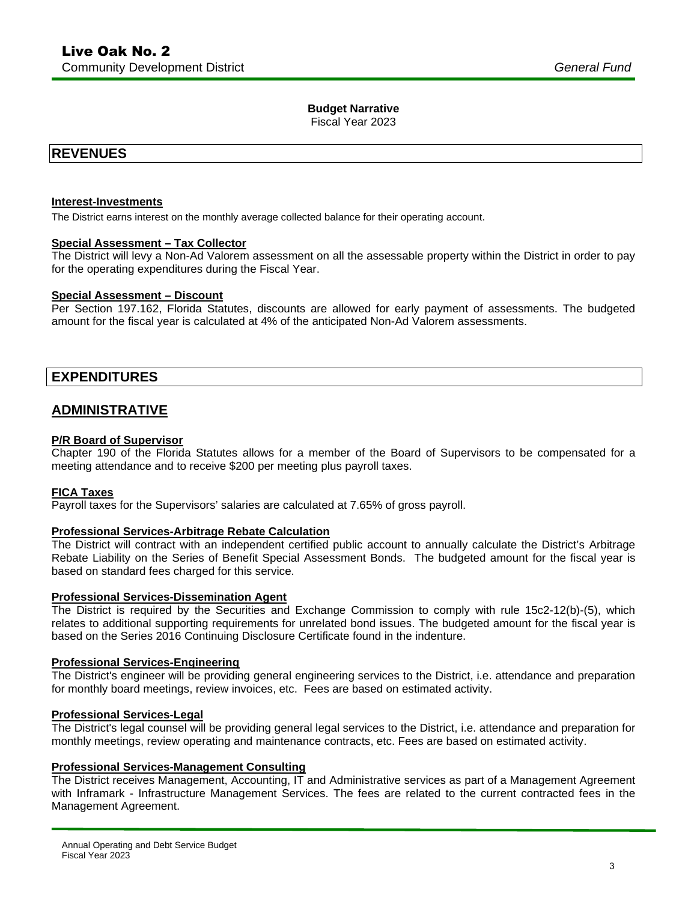#### **Budget Narrative**

Fiscal Year 2023

### **REVENUES**

#### **Interest-Investments**

The District earns interest on the monthly average collected balance for their operating account.

#### **Special Assessment – Tax Collector**

 The District will levy a Non-Ad Valorem assessment on all the assessable property within the District in order to pay for the operating expenditures during the Fiscal Year.

#### **Special Assessment – Discount**

 Per Section 197.162, Florida Statutes, discounts are allowed for early payment of assessments. The budgeted amount for the fiscal year is calculated at 4% of the anticipated Non-Ad Valorem assessments.

# **EXPENDITURES ADMINISTRATIVE**

#### **P/R Board of Supervisor**

 Chapter 190 of the Florida Statutes allows for a member of the Board of Supervisors to be compensated for a meeting attendance and to receive \$200 per meeting plus payroll taxes.

#### **FICA Taxes**

Payroll taxes for the Supervisors' salaries are calculated at 7.65% of gross payroll.

#### **Professional Services-Arbitrage Rebate Calculation**

 The District will contract with an independent certified public account to annually calculate the District's Arbitrage Rebate Liability on the Series of Benefit Special Assessment Bonds. The budgeted amount for the fiscal year is based on standard fees charged for this service.

#### **Professional Services-Dissemination Agent**

 The District is required by the Securities and Exchange Commission to comply with rule 15c2-12(b)-(5), which relates to additional supporting requirements for unrelated bond issues. The budgeted amount for the fiscal year is based on the Series 2016 Continuing Disclosure Certificate found in the indenture.

#### **Professional Services-Engineering**

 The District's engineer will be providing general engineering services to the District, i.e. attendance and preparation for monthly board meetings, review invoices, etc. Fees are based on estimated activity.

#### **Professional Services-Legal**

 The District's legal counsel will be providing general legal services to the District, i.e. attendance and preparation for monthly meetings, review operating and maintenance contracts, etc. Fees are based on estimated activity.

#### **Professional Services-Management Consulting**

 The District receives Management, Accounting, IT and Administrative services as part of a Management Agreement with Inframark - Infrastructure Management Services. The fees are related to the current contracted fees in the Management Agreement.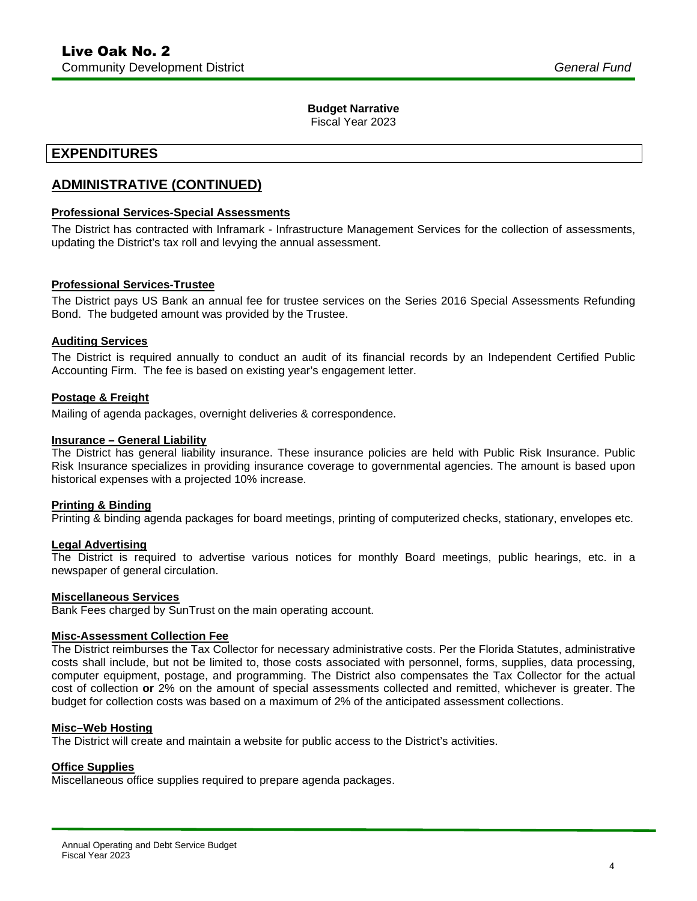#### **Budget Narrative**

Fiscal Year 2023

# **EXPENDITURES ADMINISTRATIVE (CONTINUED)**

#### **Professional Services-Special Assessments**

 The District has contracted with Inframark - Infrastructure Management Services for the collection of assessments, updating the District's tax roll and levying the annual assessment.

#### **Professional Services-Trustee**

 The District pays US Bank an annual fee for trustee services on the Series 2016 Special Assessments Refunding Bond. The budgeted amount was provided by the Trustee.

#### **Auditing Services**

 The District is required annually to conduct an audit of its financial records by an Independent Certified Public Accounting Firm. The fee is based on existing year's engagement letter.

#### **Postage & Freight**

Mailing of agenda packages, overnight deliveries & correspondence.

#### **Insurance – General Liability**

 The District has general liability insurance. These insurance policies are held with Public Risk Insurance. Public Risk Insurance specializes in providing insurance coverage to governmental agencies. The amount is based upon historical expenses with a projected 10% increase.

#### **Printing & Binding**

Printing & binding agenda packages for board meetings, printing of computerized checks, stationary, envelopes etc.

#### **Legal Advertising**

 The District is required to advertise various notices for monthly Board meetings, public hearings, etc. in a newspaper of general circulation.

#### **Miscellaneous Services**

Bank Fees charged by SunTrust on the main operating account.

#### **Misc-Assessment Collection Fee**

 The District reimburses the Tax Collector for necessary administrative costs. Per the Florida Statutes, administrative costs shall include, but not be limited to, those costs associated with personnel, forms, supplies, data processing, computer equipment, postage, and programming. The District also compensates the Tax Collector for the actual cost of collection **or** 2% on the amount of special assessments collected and remitted, whichever is greater. The budget for collection costs was based on a maximum of 2% of the anticipated assessment collections.

#### **Misc–Web Hosting**

The District will create and maintain a website for public access to the District's activities.

#### **Office Supplies**

Miscellaneous office supplies required to prepare agenda packages.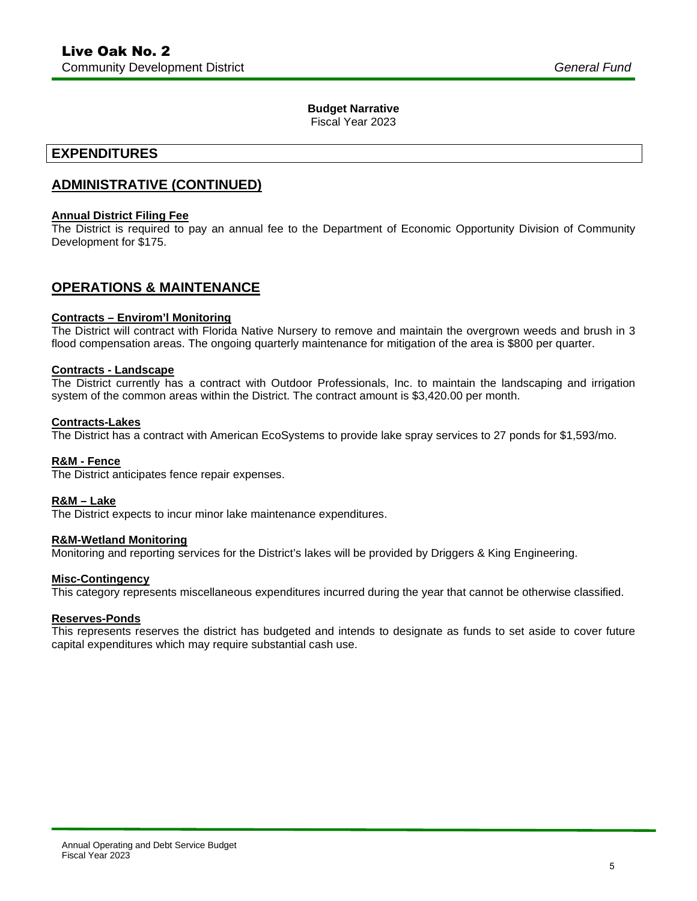#### **Budget Narrative**

Fiscal Year 2023

# **EXPENDITURES ADMINISTRATIVE (CONTINUED)**

#### **Annual District Filing Fee**

 The District is required to pay an annual fee to the Department of Economic Opportunity Division of Community Development for \$175.

#### **OPERATIONS & MAINTENANCE**

#### **Contracts – Envirom'l Monitoring**

 The District will contract with Florida Native Nursery to remove and maintain the overgrown weeds and brush in 3 flood compensation areas. The ongoing quarterly maintenance for mitigation of the area is \$800 per quarter.

#### **Contracts - Landscape**

 The District currently has a contract with Outdoor Professionals, Inc. to maintain the landscaping and irrigation system of the common areas within the District. The contract amount is \$[3,420.00](https://3,420.00) per month.

#### **Contracts-Lakes**

The District has a contract with American EcoSystems to provide lake spray services to 27 ponds for \$1,593/mo.

#### **R&M - Fence**

The District anticipates fence repair expenses.

#### **R&M – Lake**

The District expects to incur minor lake maintenance expenditures.

#### **R&M-Wetland Monitoring**

Monitoring and reporting services for the District's lakes will be provided by Driggers & King Engineering.

#### **Misc-Contingency**

This category represents miscellaneous expenditures incurred during the year that cannot be otherwise classified.

#### **Reserves-Ponds**

 This represents reserves the district has budgeted and intends to designate as funds to set aside to cover future capital expenditures which may require substantial cash use.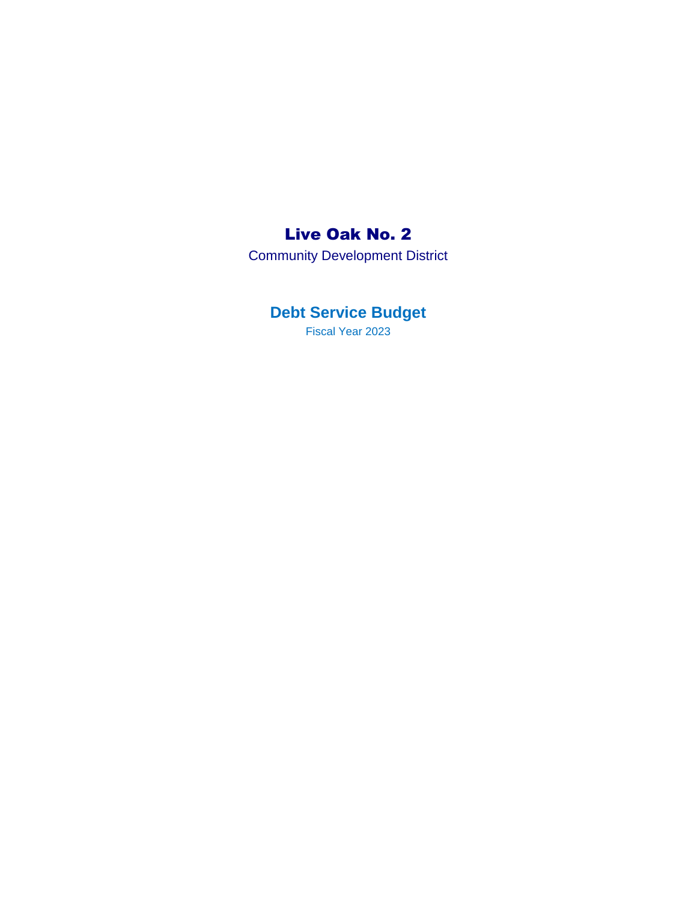# Live Oak No. 2

Community Development District

# **Debt Service Budget**

Fiscal Year 2023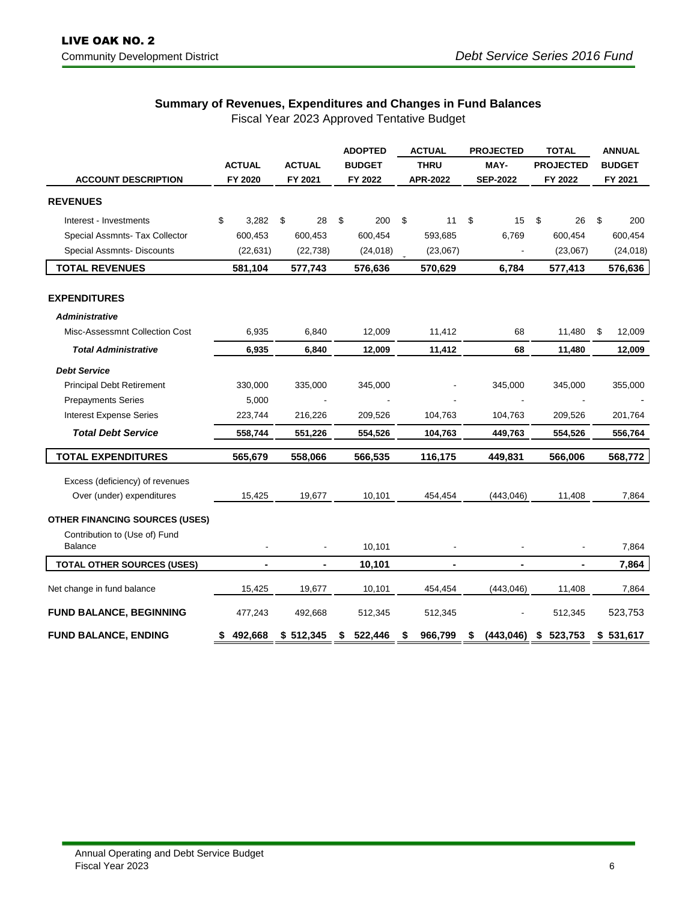### **Summary of Revenues, Expenditures and Changes in Fund Balances**

Fiscal Year 2023 Approved Tentative Budget

|                                          |                                           |                |    |                | <b>ADOPTED</b>  |               | <b>ACTUAL</b> |                | <b>PROJECTED</b> |                | <b>TOTAL</b> |                  | <b>ANNUAL</b> |           |  |
|------------------------------------------|-------------------------------------------|----------------|----|----------------|-----------------|---------------|---------------|----------------|------------------|----------------|--------------|------------------|---------------|-----------|--|
|                                          |                                           | <b>ACTUAL</b>  |    | <b>ACTUAL</b>  |                 | <b>BUDGET</b> |               | <b>THRU</b>    | MAY-             |                |              | <b>PROJECTED</b> | <b>BUDGET</b> |           |  |
| <b>ACCOUNT DESCRIPTION</b>               | FY 2020<br>FY 2021<br>FY 2022<br>APR-2022 |                |    |                | <b>SEP-2022</b> | FY 2022       |               | FY 2021        |                  |                |              |                  |               |           |  |
| <b>REVENUES</b>                          |                                           |                |    |                |                 |               |               |                |                  |                |              |                  |               |           |  |
| Interest - Investments                   | \$                                        | 3,282          | \$ | 28             | \$              | 200           | \$            | 11             | \$               | 15             | \$           | 26               | \$            | 200       |  |
| Special Assmnts- Tax Collector           |                                           | 600,453        |    | 600,453        |                 | 600,454       |               | 593,685        |                  | 6,769          |              | 600,454          |               | 600,454   |  |
| Special Assmnts- Discounts               |                                           | (22, 631)      |    | (22, 738)      |                 | (24, 018)     |               | (23,067)       |                  |                |              | (23,067)         |               | (24, 018) |  |
| <b>TOTAL REVENUES</b>                    |                                           | 581,104        |    | 577,743        |                 | 576,636       |               | 570,629        |                  | 6,784          |              | 577,413          |               | 576,636   |  |
| <b>EXPENDITURES</b>                      |                                           |                |    |                |                 |               |               |                |                  |                |              |                  |               |           |  |
| <b>Administrative</b>                    |                                           |                |    |                |                 |               |               |                |                  |                |              |                  |               |           |  |
| Misc-Assessmnt Collection Cost           |                                           | 6,935          |    | 6,840          |                 | 12,009        |               | 11,412         |                  | 68             |              | 11,480           | \$            | 12,009    |  |
| <b>Total Administrative</b>              |                                           | 6,935          |    | 6,840          |                 | 12,009        |               | 11,412         |                  | 68             |              | 11,480           |               | 12,009    |  |
| <b>Debt Service</b>                      |                                           |                |    |                |                 |               |               |                |                  |                |              |                  |               |           |  |
| <b>Principal Debt Retirement</b>         |                                           | 330,000        |    | 335,000        |                 | 345,000       |               |                |                  | 345,000        |              | 345,000          |               | 355,000   |  |
| <b>Prepayments Series</b>                |                                           | 5,000          |    |                |                 |               |               |                |                  |                |              |                  |               |           |  |
| <b>Interest Expense Series</b>           |                                           | 223,744        |    | 216,226        |                 | 209,526       |               | 104,763        |                  | 104,763        |              | 209,526          |               | 201,764   |  |
| <b>Total Debt Service</b>                |                                           | 558,744        |    | 551,226        |                 | 554,526       |               | 104,763        |                  | 449,763        |              | 554,526          |               | 556,764   |  |
| <b>TOTAL EXPENDITURES</b>                |                                           | 565,679        |    | 558,066        |                 | 566,535       |               | 116,175        |                  | 449,831        |              | 566,006          |               | 568,772   |  |
| Excess (deficiency) of revenues          |                                           |                |    |                |                 |               |               |                |                  |                |              |                  |               |           |  |
| Over (under) expenditures                |                                           | 15,425         |    | 19,677         |                 | 10,101        |               | 454,454        |                  | (443, 046)     |              | 11,408           |               | 7,864     |  |
| <b>OTHER FINANCING SOURCES (USES)</b>    |                                           |                |    |                |                 |               |               |                |                  |                |              |                  |               |           |  |
| Contribution to (Use of) Fund<br>Balance |                                           |                |    |                |                 | 10,101        |               |                |                  |                |              |                  |               | 7,864     |  |
|                                          |                                           |                |    |                |                 |               |               |                |                  |                |              |                  |               |           |  |
| <b>TOTAL OTHER SOURCES (USES)</b>        |                                           | $\blacksquare$ |    | $\blacksquare$ |                 | 10,101        |               | $\blacksquare$ |                  | $\blacksquare$ |              | ۰                |               | 7,864     |  |
| Net change in fund balance               |                                           | 15,425         |    | 19,677         |                 | 10,101        |               | 454,454        |                  | (443, 046)     |              | 11,408           |               | 7,864     |  |
| <b>FUND BALANCE, BEGINNING</b>           |                                           | 477,243        |    | 492,668        |                 | 512,345       |               | 512,345        |                  |                |              | 512,345          |               | 523,753   |  |
| <b>FUND BALANCE, ENDING</b>              | \$                                        | 492,668        |    | \$512,345      |                 | 522,446       |               | 966,799        | \$               | (443, 046)     | \$           | 523,753          |               | \$531,617 |  |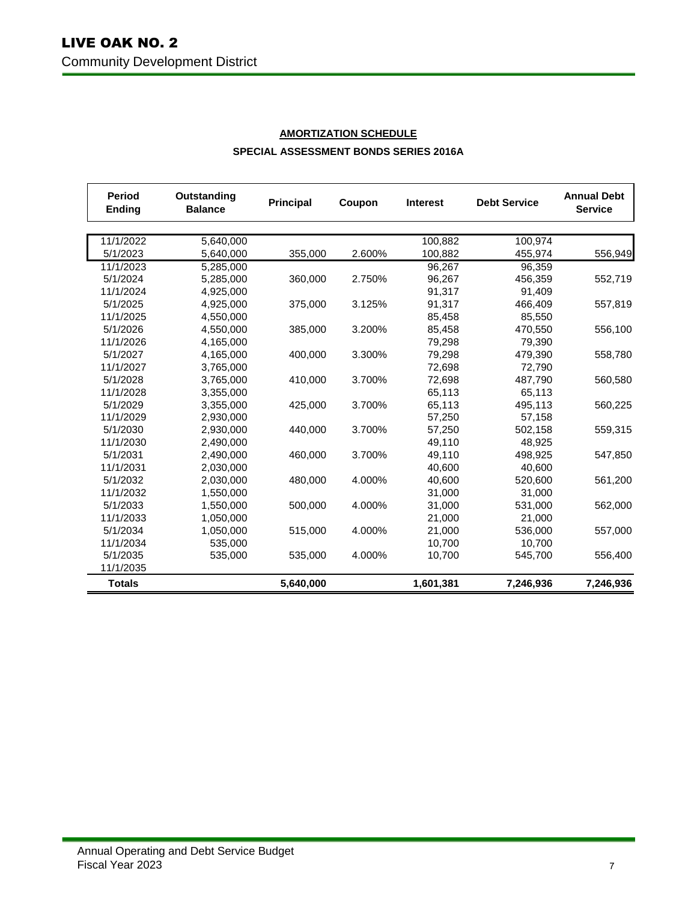| <b>Period</b><br><b>Ending</b> | Outstanding<br><b>Balance</b> |           | Coupon | <b>Interest</b> | <b>Debt Service</b> | <b>Annual Debt</b><br><b>Service</b> |
|--------------------------------|-------------------------------|-----------|--------|-----------------|---------------------|--------------------------------------|
|                                |                               |           |        |                 |                     |                                      |
| 11/1/2022                      | 5,640,000                     |           |        | 100,882         | 100,974             |                                      |
| 5/1/2023                       | 5,640,000                     | 355,000   | 2.600% | 100,882         | 455,974             | 556,949                              |
| 11/1/2023                      | 5,285,000                     |           |        | 96.267          | 96,359              |                                      |
| 5/1/2024                       | 5,285,000                     | 360,000   | 2.750% | 96.267          | 456.359             | 552,719                              |
| 11/1/2024                      | 4,925,000                     |           |        | 91,317          | 91,409              |                                      |
| 5/1/2025                       | 4,925,000                     | 375,000   | 3.125% | 91,317          | 466,409             | 557,819                              |
| 11/1/2025                      | 4,550,000                     |           |        | 85,458          | 85,550              |                                      |
| 5/1/2026                       | 4,550,000                     | 385,000   | 3.200% | 85,458          | 470,550             | 556,100                              |
| 11/1/2026                      | 4,165,000                     |           |        | 79,298          | 79,390              |                                      |
| 5/1/2027                       | 4,165,000                     | 400,000   | 3.300% | 79,298          | 479,390             | 558,780                              |
| 11/1/2027                      | 3,765,000                     |           |        | 72,698          | 72,790              |                                      |
| 5/1/2028                       | 3,765,000                     | 410,000   | 3.700% | 72,698          | 487,790             | 560,580                              |
| 11/1/2028                      | 3,355,000                     |           |        | 65,113          | 65,113              |                                      |
| 5/1/2029                       | 3.355.000                     | 425,000   | 3.700% | 65,113          | 495.113             | 560,225                              |
| 11/1/2029                      | 2,930,000                     |           |        | 57,250          | 57,158              |                                      |
| 5/1/2030                       | 2,930,000                     | 440,000   | 3.700% | 57,250          | 502,158             | 559,315                              |
| 11/1/2030                      | 2,490,000                     |           |        | 49,110          | 48,925              |                                      |
| 5/1/2031                       | 2,490,000                     | 460,000   | 3.700% | 49,110          | 498,925             | 547,850                              |
| 11/1/2031                      | 2.030.000                     |           |        | 40.600          | 40.600              |                                      |
| 5/1/2032                       | 2,030,000                     | 480,000   | 4.000% | 40,600          | 520,600             | 561,200                              |
| 11/1/2032                      | 1,550,000                     |           |        | 31,000          | 31,000              |                                      |
| 5/1/2033                       | 1,550,000                     | 500,000   | 4.000% | 31,000          | 531,000             | 562,000                              |
| 11/1/2033                      | 1,050,000                     |           |        | 21,000          | 21,000              |                                      |
| 5/1/2034                       | 1,050,000                     | 515,000   | 4.000% | 21,000          | 536,000             | 557,000                              |
| 11/1/2034                      | 535,000                       |           |        | 10,700          | 10,700              |                                      |
| 5/1/2035                       | 535,000                       | 535,000   | 4.000% | 10,700          | 545,700             | 556,400                              |
| 11/1/2035                      |                               |           |        |                 |                     |                                      |
| <b>Totals</b>                  |                               | 5,640,000 |        | 1,601,381       | 7,246,936           | 7,246,936                            |

### **AMORTIZATION SCHEDULE SPECIAL ASSESSMENT BONDS SERIES 2016A**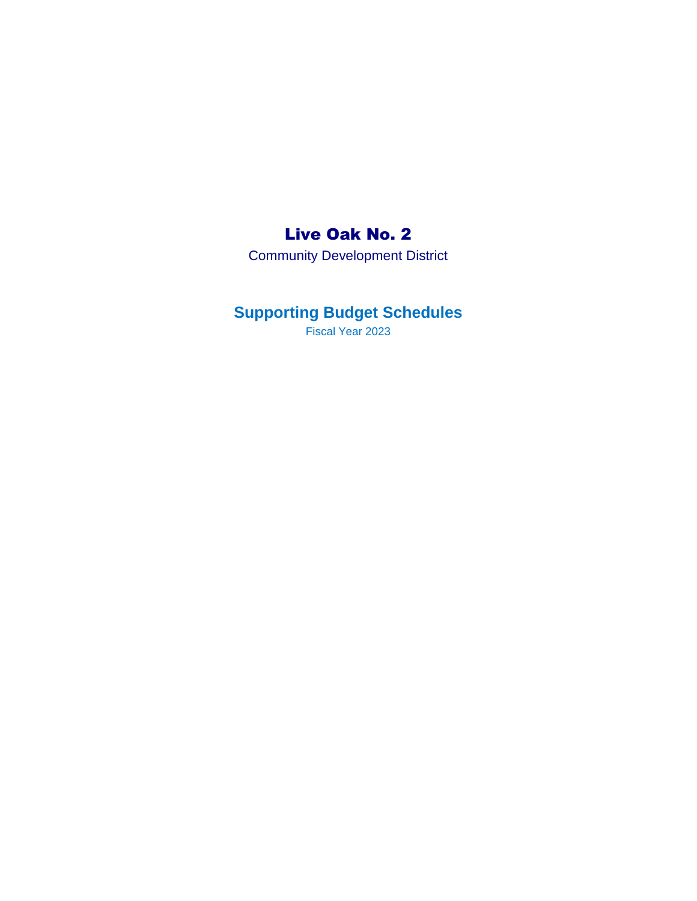## Live Oak No. 2

Community Development District

# **Supporting Budget Schedules**

Fiscal Year 2023